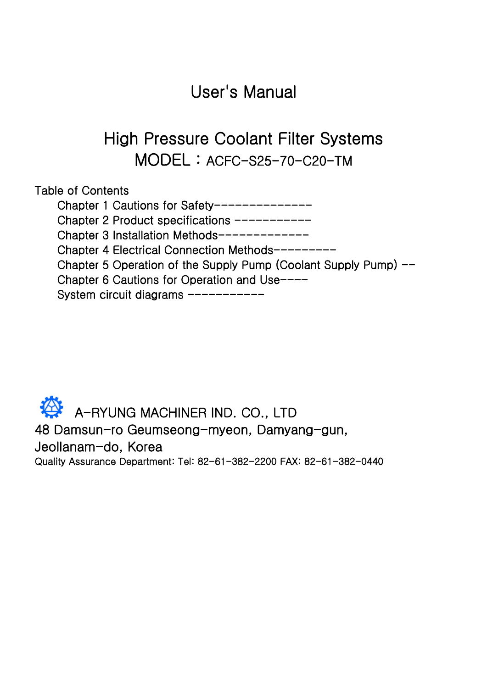# User's Manual

# High Pressure Coolant Filter Systems MODEL : ACFC-S25-70-C20-TM

| Table of Contents                                               |
|-----------------------------------------------------------------|
| Chapter 1 Cautions for Safety----                               |
| Chapter 2 Product specifications ----                           |
| Chapter 3 Installation Methods------                            |
| Chapter 4 Electrical Connection Methods----                     |
| Chapter 5 Operation of the Supply Pump (Coolant Supply Pump) -- |
| Chapter 6 Cautions for Operation and Use----                    |
| System circuit diagrams ----                                    |

# A-RYUNG MACHINER IND. CO., LTD 48 Damsun-ro Geumseong-myeon, Damyang-gun, Jeollanam-do, Korea

Quality Assurance Department: Tel: 82-61-382-2200 FAX: 82-61-382-0440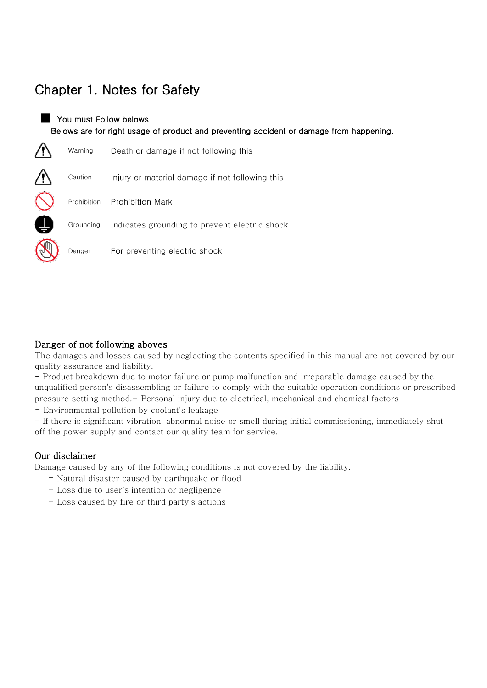## Chapter 1. Notes for Safety

### **The You must Follow belows** Belows are for right usage of product and preventing accident or damage from happening.

| Warning     | Death or damage if not following this           |
|-------------|-------------------------------------------------|
| Caution     | Injury or material damage if not following this |
| Prohibition | <b>Prohibition Mark</b>                         |
| Grounding   | Indicates grounding to prevent electric shock   |
| Danger      | For preventing electric shock                   |

#### Danger of not following aboves

The damages and losses caused by neglecting the contents specified in this manual are not covered by our quality assurance and liability.

- Product breakdown due to motor failure or pump malfunction and irreparable damage caused by the unqualified person's disassembling or failure to comply with the suitable operation conditions or prescribed pressure setting method.- Personal injury due to electrical, mechanical and chemical factors

- Environmental pollution by coolant's leakage

- If there is significant vibration, abnormal noise or smell during initial commissioning, immediately shut off the power supply and contact our quality team for service.

#### Our disclaimer

Damage caused by any of the following conditions is not covered by the liability.

- Natural disaster caused by earthquake or flood
- Loss due to user's intention or negligence
- Loss caused by fire or third party's actions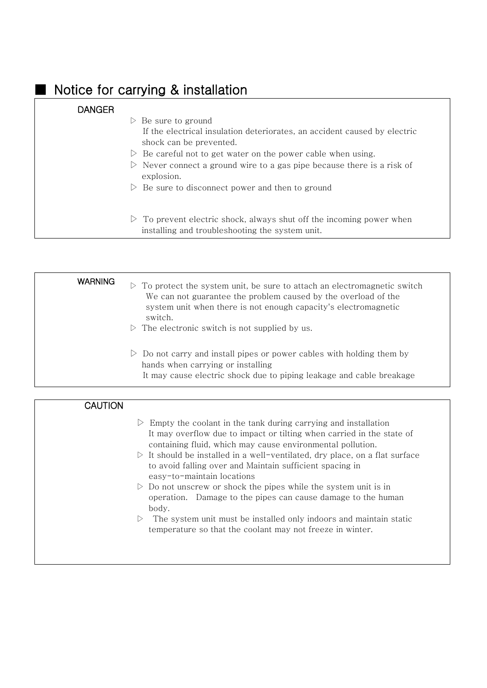## Notice for carrying & installation

#### **DANGER**

- $\triangleright$  Be sure to ground If the electrical insulation deteriorates, an accident caused by electric shock can be prevented.
- $\triangleright$  Be careful not to get water on the power cable when using.
- $\triangleright$  Never connect a ground wire to a gas pipe because there is a risk of explosion.
- $\triangleright$  Be sure to disconnect power and then to ground
- $\triangleright$  To prevent electric shock, always shut off the incoming power when installing and troubleshooting the system unit.

| <b>WARNING</b> | $\triangleright$ To protect the system unit, be sure to attach an electromagnetic switch<br>We can not guarantee the problem caused by the overload of the<br>system unit when there is not enough capacity's electromagnetic<br>switch.<br>$\triangleright$ The electronic switch is not supplied by us. |
|----------------|-----------------------------------------------------------------------------------------------------------------------------------------------------------------------------------------------------------------------------------------------------------------------------------------------------------|
|                | $\triangleright$ Do not carry and install pipes or power cables with holding them by<br>hands when carrying or installing<br>It may cause electric shock due to piping leakage and cable breakage                                                                                                         |

#### **CAUTION**

- $\triangleright$  Empty the coolant in the tank during carrying and installation It may overflow due to impact or tilting when carried in the state of containing fluid, which may cause environmental pollution.
- $\triangleright$  It should be installed in a well-ventilated, dry place, on a flat surface to avoid falling over and Maintain sufficient spacing in easy-to-maintain locations
- $\triangleright$  Do not unscrew or shock the pipes while the system unit is in operation. Damage to the pipes can cause damage to the human body.
- $\triangleright$  The system unit must be installed only indoors and maintain static temperature so that the coolant may not freeze in winter.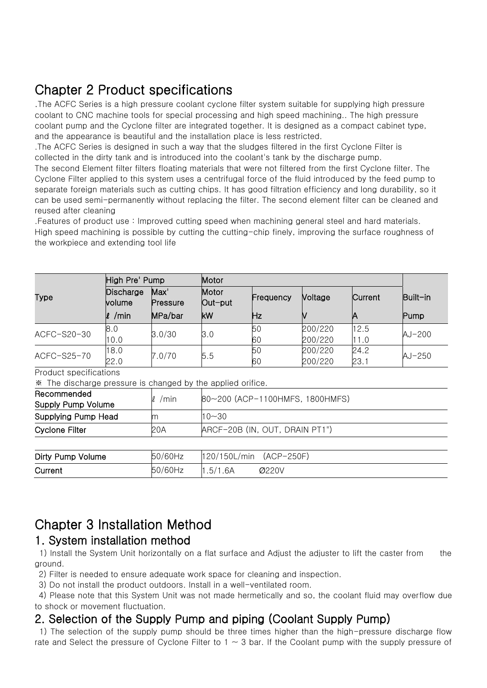## Chapter 2 Product specifications

.The ACFC Series is a high pressure coolant cyclone filter system suitable for supplying high pressure coolant to CNC machine tools for special processing and high speed machining.. The high pressure coolant pump and the Cyclone filter are integrated together. It is designed as a compact cabinet type, and the appearance is beautiful and the installation place is less restricted.

.The ACFC Series is designed in such a way that the sludges filtered in the first Cyclone Filter is collected in the dirty tank and is introduced into the coolant's tank by the discharge pump.

The second Element filter filters floating materials that were not filtered from the first Cyclone filter. The Cyclone Filter applied to this system uses a centrifugal force of the fluid introduced by the feed pump to separate foreign materials such as cutting chips. It has good filtration efficiency and long durability, so it can be used semi-permanently without replacing the filter. The second element filter can be cleaned and reused after cleaning

.Features of product use : Improved cutting speed when machining general steel and hard materials. High speed machining is possible by cutting the cutting-chip finely, improving the surface roughness of the workpiece and extending tool life

|             | High Pre' Pump       |                  | Motor            |           |                |         |          |
|-------------|----------------------|------------------|------------------|-----------|----------------|---------|----------|
| Type        | Discharge<br>lvolume | Max'<br>Pressure | Motor<br>Out-put | Frequency | <b>Noltage</b> | Current | Built-in |
|             | /min<br>ll           | MPa/bar          | kW               | Ηz        |                |         | Pump     |
| ACFC-S20-30 | 8.0                  | 3.0/30           | 3.0              | 50        | 200/220        | 12.5    |          |
|             | 10.0                 |                  |                  | 60        | 200/220        | 11.0    | $AJ-200$ |
| ACFC-S25-70 | 18.0                 | 7.0/70           |                  | 50        | 200/220        | 24.2    | $AJ-250$ |
|             | 22.0                 |                  | 5.5              | 60        | 200/220        | 23.1    |          |

Product specifications

※ The discharge pressure is changed by the applied orifice.

| Recommended<br>Supply Pump Volume | /min<br>V. | 80~200 (ACP-1100HMFS, 1800HMFS) |
|-----------------------------------|------------|---------------------------------|
| Supplying Pump Head               | m          | $10 - 30$                       |
| Cyclone Filter                    | 20A        | ARCF-20B (IN, OUT, DRAIN PT1")  |
|                                   |            |                                 |

| Dirty Pump Volume | 50/60Hz | $ 120/150$ L/min $(ACP-250F)$ |       |
|-------------------|---------|-------------------------------|-------|
| Current           | 50/60Hz | 1.5/1.6A                      | Ø220V |

## Chapter 3 Installation Method

### 1. System installation method

1) Install the System Unit horizontally on a flat surface and Adjust the adjuster to lift the caster from the ground.

2) Filter is needed to ensure adequate work space for cleaning and inspection.

3) Do not install the product outdoors. Install in a well-ventilated room.

4) Please note that this System Unit was not made hermetically and so, the coolant fluid may overflow due to shock or movement fluctuation.

### 2. Selection of the Supply Pump and piping (Coolant Supply Pump)

1) The selection of the supply pump should be three times higher than the high-pressure discharge flow rate and Select the pressure of Cyclone Filter to  $1 \sim 3$  bar. If the Coolant pump with the supply pressure of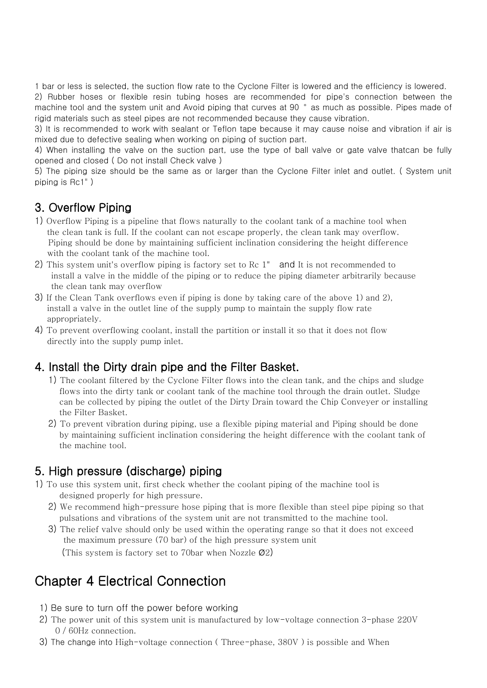1 bar or less is selected, the suction flow rate to the Cyclone Filter is lowered and the efficiency is lowered.

2) Rubber hoses or flexible resin tubing hoses are recommended for pipe's connection between the machine tool and the system unit and Avoid piping that curves at 90 ° as much as possible. Pipes made of rigid materials such as steel pipes are not recommended because they cause vibration.

3) It is recommended to work with sealant or Teflon tape because it may cause noise and vibration if air is mixed due to defective sealing when working on piping of suction part.

4) When installing the valve on the suction part, use the type of ball valve or gate valve thatcan be fully opened and closed ( Do not install Check valve )

5) The piping size should be the same as or larger than the Cyclone Filter inlet and outlet. ( System unit piping is Rc1" )

### 3. Overflow Piping

- 1) Overflow Piping is a pipeline that flows naturally to the coolant tank of a machine tool when the clean tank is full. If the coolant can not escape properly, the clean tank may overflow. Piping should be done by maintaining sufficient inclination considering the height difference with the coolant tank of the machine tool.
- 2) This system unit's overflow piping is factory set to Rc 1" and It is not recommended to install a valve in the middle of the piping or to reduce the piping diameter arbitrarily because the clean tank may overflow
- 3) If the Clean Tank overflows even if piping is done by taking care of the above 1) and 2), install a valve in the outlet line of the supply pump to maintain the supply flow rate appropriately.
- 4) To prevent overflowing coolant, install the partition or install it so that it does not flow directly into the supply pump inlet.

### 4. Install the Dirty drain pipe and the Filter Basket.

- 1) The coolant filtered by the Cyclone Filter flows into the clean tank, and the chips and sludge flows into the dirty tank or coolant tank of the machine tool through the drain outlet. Sludge can be collected by piping the outlet of the Dirty Drain toward the Chip Conveyer or installing the Filter Basket.
- 2) To prevent vibration during piping, use a flexible piping material and Piping should be done by maintaining sufficient inclination considering the height difference with the coolant tank of the machine tool.

### 5. High pressure (discharge) piping

- 1) To use this system unit, first check whether the coolant piping of the machine tool is designed properly for high pressure.
	- 2) We recommend high-pressure hose piping that is more flexible than steel pipe piping so that pulsations and vibrations of the system unit are not transmitted to the machine tool.
	- 3) The relief valve should only be used within the operating range so that it does not exceed the maximum pressure (70 bar) of the high pressure system unit

(This system is factory set to 70bar when Nozzle Ø2)

## Chapter 4 Electrical Connection

- 1) Be sure to turn off the power before working
- 2) The power unit of this system unit is manufactured by low-voltage connection 3-phase 220V 0 / 60Hz connection.
- 3) The change into High-voltage connection ( Three-phase, 380V ) is possible and When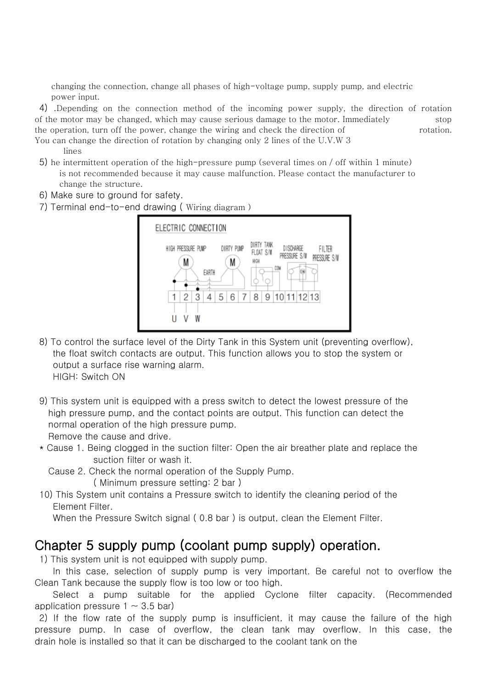changing the connection, change all phases of high-voltage pump, supply pump, and electric power input.

4) .Depending on the connection method of the incoming power supply, the direction of rotation of the motor may be changed, which may cause serious damage to the motor. Immediately stop the operation, turn off the power, change the wiring and check the direction of rotation. You can change the direction of rotation by changing only 2 lines of the U.V.W 3

lines

- 5) he intermittent operation of the high-pressure pump (several times on / off within 1 minute) is not recommended because it may cause malfunction. Please contact the manufacturer to change the structure.
- 6) Make sure to ground for safety.
- 7) Terminal end-to-end drawing ( Wiring diagram )



- 8) To control the surface level of the Dirty Tank in this System unit (preventing overflow), the float switch contacts are output. This function allows you to stop the system or output a surface rise warning alarm. HIGH: Switch ON
- 9) This system unit is equipped with a press switch to detect the lowest pressure of the high pressure pump, and the contact points are output. This function can detect the normal operation of the high pressure pump. Remove the cause and drive.
- \* Cause 1. Being clogged in the suction filter: Open the air breather plate and replace the suction filter or wash it.
	- Cause 2. Check the normal operation of the Supply Pump. ( Minimum pressure setting: 2 bar )
- 10) This System unit contains a Pressure switch to identify the cleaning period of the Element Filter.

When the Pressure Switch signal ( 0.8 bar ) is output, clean the Element Filter.

## Chapter 5 supply pump (coolant pump supply) operation.

1) This system unit is not equipped with supply pump.

 In this case, selection of supply pump is very important. Be careful not to overflow the Clean Tank because the supply flow is too low or too high.

 Select a pump suitable for the applied Cyclone filter capacity. (Recommended application pressure  $1 \sim 3.5$  bar)

2) If the flow rate of the supply pump is insufficient, it may cause the failure of the high pressure pump. In case of overflow, the clean tank may overflow. In this case, the drain hole is installed so that it can be discharged to the coolant tank on the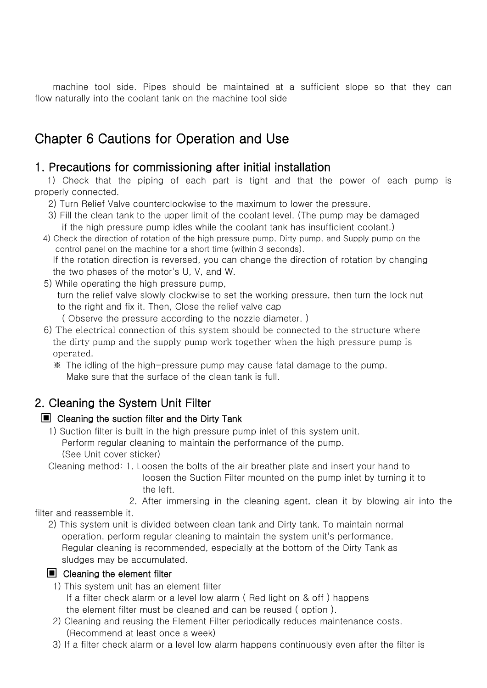machine tool side. Pipes should be maintained at a sufficient slope so that they can flow naturally into the coolant tank on the machine tool side

## Chapter 6 Cautions for Operation and Use

### 1. Precautions for commissioning after initial installation

 1) Check that the piping of each part is tight and that the power of each pump is properly connected.

2) Turn Relief Valve counterclockwise to the maximum to lower the pressure.

- 3) Fill the clean tank to the upper limit of the coolant level. (The pump may be damaged if the high pressure pump idles while the coolant tank has insufficient coolant.)
- 4) Check the direction of rotation of the high pressure pump, Dirty pump, and Supply pump on the control panel on the machine for a short time (within 3 seconds).

 If the rotation direction is reversed, you can change the direction of rotation by changing the two phases of the motor's U, V, and W.

- 5) While operating the high pressure pump, turn the relief valve slowly clockwise to set the working pressure, then turn the lock nut to the right and fix it. Then, Close the relief valve cap ( Observe the pressure according to the nozzle diameter. )
- 6) The electrical connection of this system should be connected to the structure where the dirty pump and the supply pump work together when the high pressure pump is operated.
	- ※ The idling of the high-pressure pump may cause fatal damage to the pump. Make sure that the surface of the clean tank is full.

### 2. Cleaning the System Unit Filter

#### ▣ Cleaning the suction filter and the Dirty Tank

 1) Suction filter is built in the high pressure pump inlet of this system unit. Perform regular cleaning to maintain the performance of the pump. (See Unit cover sticker)

Cleaning method: 1. Loosen the bolts of the air breather plate and insert your hand to

 loosen the Suction Filter mounted on the pump inlet by turning it to the left.

2. After immersing in the cleaning agent, clean it by blowing air into the

filter and reassemble it.

 2) This system unit is divided between clean tank and Dirty tank. To maintain normal operation, perform regular cleaning to maintain the system unit's performance. Regular cleaning is recommended, especially at the bottom of the Dirty Tank as sludges may be accumulated.

#### ■ Cleaning the element filter

- 1) This system unit has an element filter If a filter check alarm or a level low alarm ( Red light on & off ) happens the element filter must be cleaned and can be reused ( option ).
- 2) Cleaning and reusing the Element Filter periodically reduces maintenance costs. (Recommend at least once a week)
- 3) If a filter check alarm or a level low alarm happens continuously even after the filter is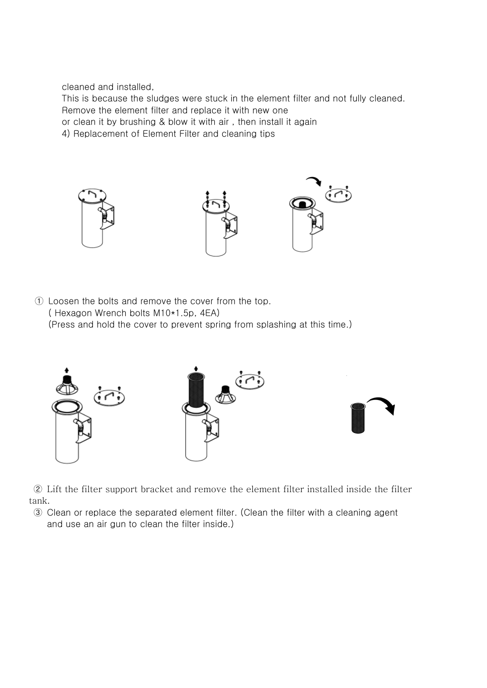cleaned and installed,

 This is because the sludges were stuck in the element filter and not fully cleaned. Remove the element filter and replace it with new one

or clean it by brushing & blow it with air , then install it again

4) Replacement of Element Filter and cleaning tips



① Loosen the bolts and remove the cover from the top. ( Hexagon Wrench bolts M10\*1.5p, 4EA) (Press and hold the cover to prevent spring from splashing at this time.)



② Lift the filter support bracket and remove the element filter installed inside the filter tank.

③ Clean or replace the separated element filter. (Clean the filter with a cleaning agent and use an air gun to clean the filter inside.)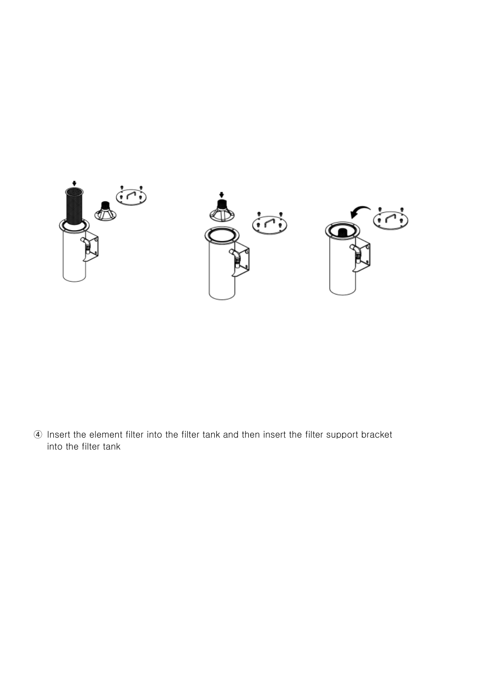

④ Insert the element filter into the filter tank and then insert the filter support bracket into the filter tank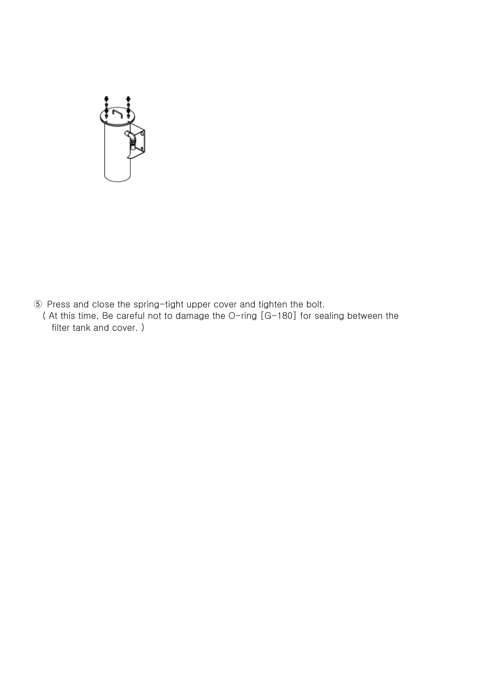

⑤ Press and close the spring-tight upper cover and tighten the bolt. ( At this time, Be careful not to damage the O-ring [G-180] for sealing between the filter tank and cover. )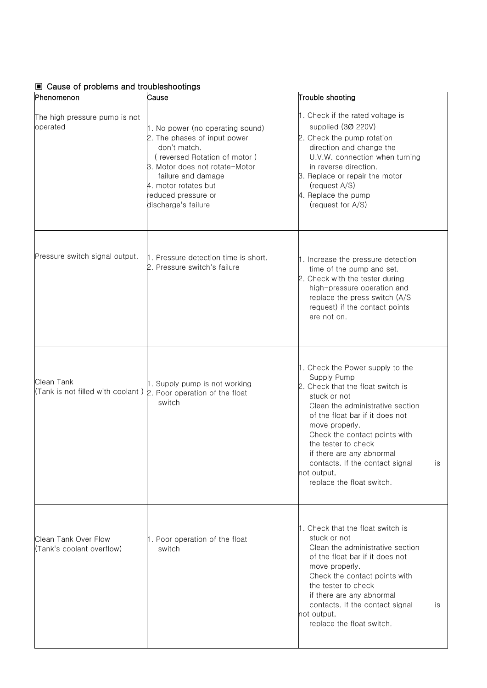#### ▣ Cause of problems and troubleshootings

| Phenomenon                                        | Cause                                                                                                                                                                                                                                          | Trouble shooting                                                                                                                                                                                                                                                                                                                                                        |
|---------------------------------------------------|------------------------------------------------------------------------------------------------------------------------------------------------------------------------------------------------------------------------------------------------|-------------------------------------------------------------------------------------------------------------------------------------------------------------------------------------------------------------------------------------------------------------------------------------------------------------------------------------------------------------------------|
| The high pressure pump is not<br>operated         | 1. No power (no operating sound)<br>2. The phases of input power<br>don't match.<br>(reversed Rotation of motor)<br>3. Motor does not rotate-Motor<br>failure and damage<br>4. motor rotates but<br>reduced pressure or<br>discharge's failure | 1. Check if the rated voltage is<br>supplied (30 220V)<br>2. Check the pump rotation<br>direction and change the<br>U.V.W. connection when turning<br>in reverse direction.<br>3. Replace or repair the motor<br>(request A/S)<br>4. Replace the pump<br>(request for A/S)                                                                                              |
| Pressure switch signal output.                    | 1. Pressure detection time is short.<br>2. Pressure switch's failure                                                                                                                                                                           | 1. Increase the pressure detection<br>time of the pump and set.<br>2. Check with the tester during<br>high-pressure operation and<br>replace the press switch (A/S<br>request) if the contact points<br>are not on.                                                                                                                                                     |
| Clean Tank<br>(Tank is not filled with coolant)   | 1. Supply pump is not working<br>2. Poor operation of the float<br>switch                                                                                                                                                                      | 1. Check the Power supply to the<br>Supply Pump<br>2. Check that the float switch is<br>stuck or not<br>Clean the administrative section<br>of the float bar if it does not<br>move properly.<br>Check the contact points with<br>the tester to check<br>if there are any abnormal<br>contacts. If the contact signal<br>is<br>not output,<br>replace the float switch. |
| Clean Tank Over Flow<br>(Tank's coolant overflow) | 1. Poor operation of the float<br>switch                                                                                                                                                                                                       | 1. Check that the float switch is<br>stuck or not<br>Clean the administrative section<br>of the float bar if it does not<br>move properly.<br>Check the contact points with<br>the tester to check<br>if there are any abnormal<br>contacts. If the contact signal<br>is<br>not output,<br>replace the float switch.                                                    |